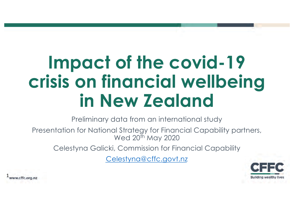# **Impact of the covid-19 crisis on financial wellbeing in New Zealand**

Preliminary data from an international study

Presentation for National Strategy for Financial Capability partners, Wed 20<sup>th</sup> May 2020

Celestyna Galicki, Commission for Financial Capability

[Celestyna@cffc.govt.n](http://cffc.govt.nz)z



1ww.cffc.org.nz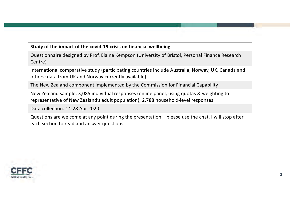#### **Study of the impact of the covid-19 crisis on financial wellbeing**

Questionnaire designed by Prof. Elaine Kempson (University of Bristol, Personal Finance Research Centre)

International comparative study (participating countries include Australia, Norway, UK, Canada and others; data from UK and Norway currently available)

The New Zealand component implemented by the Commission for Financial Capability

New Zealand sample: 3,085 individual responses (online panel, using quotas & weighting to representative of New Zealand's adult population); 2,788 household-level responses

Data collection: 14-28 Apr 2020

Questions are welcome at any point during the presentation – please use the chat. I will stop after each section to read and answer questions.

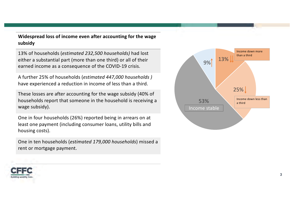**Widespread loss of income even after accounting for the wage subsidy**

13% of households (*estimated 232,500 households)* had lost either a substantial part (more than one third) or all of their earned income as a consequence of the COVID-19 crisis.

A further 25% of households (*estimated 447,000 households )* have experienced a reduction in income of less than a third.

These losses are after accounting for the wage subsidy (40% of households report that someone in the household is receiving a wage subsidy).

One in four households (26%) reported being in arrears on at least one payment (including consumer loans, utility bills and housing costs).

One in ten households (*estimated 179,000 households*) missed a rent or mortgage payment.



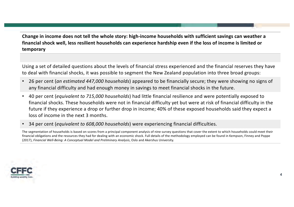**Change in income does not tell the whole story: high-income households with sufficient savings can weather a financial shock well, less resilient households can experience hardship even if the loss of income is limited or temporary**

Using a set of detailed questions about the levels of financial stress experienced and the financial reserves they have to deal with financial shocks, it was possible to segment the New Zealand population into three broad groups:

- 26 per cent (*an estimated 447,000 households*) appeared to be financially secure; they were showing no signs of any financial difficulty and had enough money in savings to meet financial shocks in the future.
- 40 per cent (*equivalent to 715,000 households*) had little financial resilience and were potentially exposed to financial shocks. These households were not in financial difficulty yet but were at risk of financial difficulty in the future if they experience a drop or further drop in income; 40% of these exposed households said they expect a loss of income in the next 3 months.
- 34 per cent (*equivalent to 608,000 households*) were experiencing financial difficulties.

The segmentation of households is based on scores from a principal component analysis of nine survey questions that cover the extent to which households could meet their financial obligations and the resources they had for dealing with an economic shock. Full details of the methodology employed can be found in Kempson, Finney and Poppe (2017), *Financial Well-Being: A Conceptual Model and Preliminary Analysis*, Oslo and Akershus University.

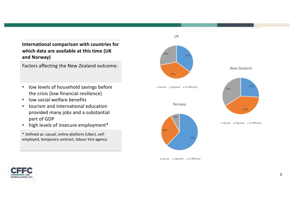#### **International comparison with countries for which data are available at this time (UK and Norway)**

Factors affecting the New Zealand outcome:

- low levels of household savings before the crisis (low financial resilience)
- low social welfare benefits
- tourism and international education provided many jobs and a substantial part of GDP
- high levels of insecure employment\*

\* Defined as: casual, online platform (Uber), selfemployed, temporary contract, labour hire agency



 $S$ ecure **Exposed** In difficulty



26%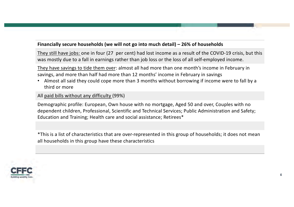#### **Financially secure households (we will not go into much detail) – 26% of households**

They still have jobs: one in four (27 per cent) had lost income as a result of the COVID-19 crisis, but this was mostly due to a fall in earnings rather than job loss or the loss of all self-employed income.

They have savings to tide them over: almost all had more than one month's income in February in savings, and more than half had more than 12 months' income in February in savings

• Almost all said they could cope more than 3 months without borrowing if income were to fall by a third or more

All paid bills without any difficulty (99%)

Demographic profile: European, Own house with no mortgage, Aged 50 and over, Couples with no dependent children, Professional, Scientific and Technical Services; Public Administration and Safety; Education and Training; Health care and social assistance; Retirees\*

\*This is a list of characteristics that are over-represented in this group of households; it does not mean all households in this group have these characteristics

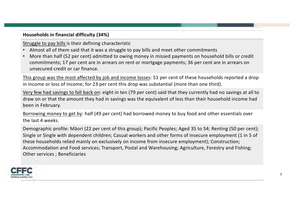**Households in financial difficulty (34%)**

Struggle to pay bills is their defining characteristic

- Almost all of them said that it was a struggle to pay bills and meet other commitments
- More than half (52 per cent) admitted to owing money in missed payments on household bills or credit commitments; 17 per cent are in arrears on rent or mortgage payments; 36 per cent are in arrears on unsecured credit or car finance.

This group was the most affected by job and income losses: 51 per cent of these households reported a drop in income or loss of income; for 23 per cent this drop was substantial (more than one third).

Very few had savings to fall back on: eight in ten (79 per cent) said that they currently had no savings at all to draw on or that the amount they had in savings was the equivalent of less than their household income had been in February.

Borrowing money to get by: half (49 per cent) had borrowed money to buy food and other essentials over the last 4 weeks.

Demographic profile: Māori (22 per cent of this group); Pacific Peoples; Aged 35 to 54; Renting (50 per cent); Single or Single with dependent children; Casual workers and other forms of insecure employment (1 in 5 of these households relied mainly on exclusively on income from insecure employment); Construction; Accommodation and Food services; Transport, Postal and Warehousing; Agriculture, Forestry and Fishing; Other services ; Beneficiaries

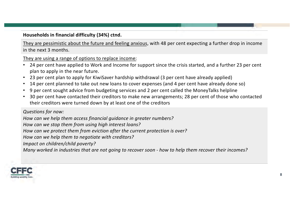#### **Households in financial difficulty (34%) ctnd.**

They are pessimistic about the future and feeling anxious, with 48 per cent expecting a further drop in income in the next 3 months.

They are using a range of options to replace income:

- 24 per cent have applied to Work and Income for support since the crisis started, and a further 23 per cent plan to apply in the near future.
- 23 per cent plan to apply for KiwiSaver hardship withdrawal (3 per cent have already applied)
- 14 per cent planned to take out new loans to cover expenses (and 4 per cent have already done so)
- 9 per cent sought advice from budgeting services and 2 per cent called the MoneyTalks helpline
- 30 per cent have contacted their creditors to make new arrangements; 28 per cent of those who contacted their creditors were turned down by at least one of the creditors

*Questions for now:*

*How can we help them access financial guidance in greater numbers?* 

*How can we stop them from using high interest loans?*

*How can we protect them from eviction after the current protection is over?*

*How can we help them to negotiate with creditors?*

*Impact on children/child poverty?*

*Many worked in industries that are not going to recover soon - how to help them recover their incomes?*

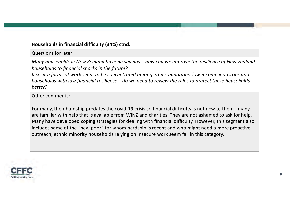#### **Households in financial difficulty (34%) ctnd.**

Questions for later:

*Many households in New Zealand have no savings – how can we improve the resilience of New Zealand households to financial shocks in the future?*

*Insecure forms of work seem to be concentrated among ethnic minorities, low-income industries and households with low financial resilience – do we need to review the rules to protect these households better?* 

Other comments:

For many, their hardship predates the covid-19 crisis so financial difficulty is not new to them - many are familiar with help that is available from WINZ and charities. They are not ashamed to ask for help. Many have developed coping strategies for dealing with financial difficulty. However, this segment also includes some of the "new poor" for whom hardship is recent and who might need a more proactive outreach; ethnic minority households relying on insecure work seem fall in this category.

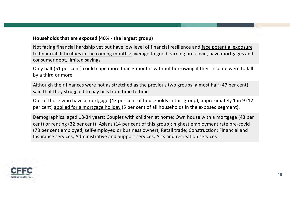#### **Households that are exposed (40% - the largest group)**

Not facing financial hardship yet but have low level of financial resilience and face potential exposure to financial difficulties in the coming months: average to good earning pre-covid, have mortgages and consumer debt, limited savings

Only half (51 per cent) could cope more than 3 months without borrowing if their income were to fall by a third or more.

Although their finances were not as stretched as the previous two groups, almost half (47 per cent) said that they struggled to pay bills from time to time

Out of those who have a mortgage (43 per cent of households in this group), approximately 1 in 9 (12 per cent) applied for a mortgage holiday (5 per cent of all households in the exposed segment).

Demographics: aged 18-34 years; Couples with children at home; Own house with a mortgage (43 per cent) or renting (32 per cent); Asians (14 per cent of this group); highest employment rate pre-covid (78 per cent employed, self-employed or business owner); Retail trade; Construction; Financial and Insurance services; Administrative and Support services; Arts and recreation services

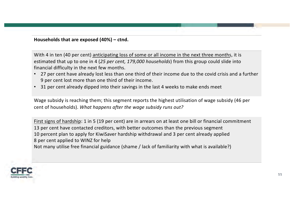**Households that are exposed (40%) – ctnd.**

With 4 in ten (40 per cent) anticipating loss of some or all income in the next three months, it is estimated that up to one in 4 (*25 per cent, 179,000 households*) from this group could slide into financial difficulty in the next few months.

- 27 per cent have already lost less than one third of their income due to the covid crisis and a further 9 per cent lost more than one third of their income.
- 31 per cent already dipped into their savings in the last 4 weeks to make ends meet

Wage subsidy is reaching them; this segment reports the highest utilisation of wage subsidy (46 per cent of households). *What happens after the wage subsidy runs out?*

First signs of hardship: 1 in 5 (19 per cent) are in arrears on at least one bill or financial commitment 13 per cent have contacted creditors, with better outcomes than the previous segment 10 percent plan to apply for KiwiSaver hardship withdrawal and 3 per cent already applied 8 per cent applied to WINZ for help Not many utilise free financial guidance (shame / lack of familiarity with what is available?)

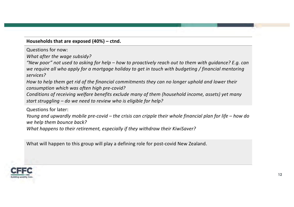#### **Households that are exposed (40%) – ctnd.**

Questions for now:

*What after the wage subsidy?*

*"New poor" not used to asking for help – how to proactively reach out to them with guidance? E.g. can we require all who apply for a mortgage holiday to get in touch with budgeting / financial mentoring services?*

*How to help them get rid of the financial commitments they can no longer uphold and lower their consumption which was often high pre-covid?*

*Conditions of receiving welfare benefits exclude many of them (household income, assets) yet many start struggling – do we need to review who is eligible for help?*

Questions for later:

*Young and upwardly mobile pre-covid – the crisis can cripple their whole financial plan for life – how do we help them bounce back?*

*What happens to their retirement, especially if they withdraw their KiwiSaver?*

What will happen to this group will play a defining role for post-covid New Zealand.

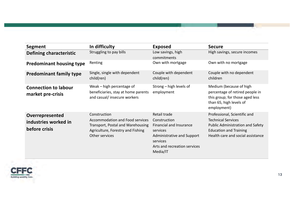| Segment                                                  | In difficulty                                                                                                                               | <b>Exposed</b>                                                                                                                                                   | <b>Secure</b>                                                                                                                                                              |
|----------------------------------------------------------|---------------------------------------------------------------------------------------------------------------------------------------------|------------------------------------------------------------------------------------------------------------------------------------------------------------------|----------------------------------------------------------------------------------------------------------------------------------------------------------------------------|
| <b>Defining characteristic</b>                           | Struggling to pay bills                                                                                                                     | Low savings, high<br>commitments                                                                                                                                 | High savings, secure incomes                                                                                                                                               |
| <b>Predominant housing type</b>                          | Renting                                                                                                                                     | Own with mortgage                                                                                                                                                | Own with no mortgage                                                                                                                                                       |
| <b>Predominant family type</b>                           | Single, single with dependent<br>child(ren)                                                                                                 | Couple with dependent<br>child(ren)                                                                                                                              | Couple with no dependent<br>children                                                                                                                                       |
| <b>Connection to labour</b><br>market pre-crisis         | Weak – high percentage of<br>beneficiaries, stay at home parents<br>and casual/ insecure workers                                            | Strong - high levels of<br>employment                                                                                                                            | Medium (because of high<br>percentage of retired people in<br>this group; for those aged less<br>than 65, high levels of<br>employment)                                    |
| Overrepresented<br>industries worked in<br>before crisis | Construction<br>Accommodation and Food services<br>Transport, Postal and Warehousing<br>Agriculture, Forestry and Fishing<br>Other services | Retail trade<br>Construction<br><b>Financial and Insurance</b><br>services<br>Administrative and Support<br>services<br>Arts and recreation services<br>Media/IT | Professional, Scientific and<br><b>Technical Services</b><br><b>Public Administration and Safety</b><br><b>Education and Training</b><br>Health care and social assistance |

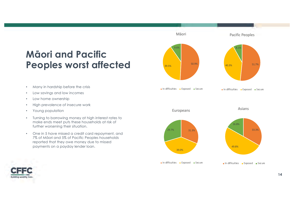# **Māori and Pacific Peoples worst affected**



- Low savings and low incomes
- Low home ownership
- High prevalence of insecure work
- Young population
- Turning to borrowing money at high interest rates to make ends meet puts these households at risk of further worsening their situation.
- One in 5 have missed a credit card repayment, and 7% of Māori and 5% of Pacific Peoples households reported that they owe money due to missed payments on a payday lender loan.



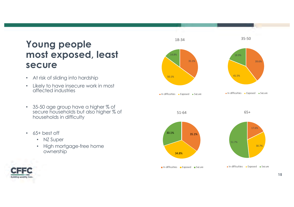# **Young people most exposed, least secure**

- At risk of sliding into hardship
- Likely to have insecure work in most affected industries
- 35-50 age group have a higher % of secure households but also higher % of households in difficulty
- 65+ best off

**Building wealthy lives** 

- NZ Super
- High mortgage-free home ownership

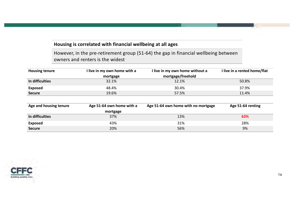#### **Housing is correlated with financial wellbeing at all ages**

However, in the pre-retirement group (51-64) the gap in financial wellbeing between owners and renters is the widest

| <b>Housing tenure</b> | I live in my own home with a | I live in my own home without a | I live in a rented home/flat |
|-----------------------|------------------------------|---------------------------------|------------------------------|
|                       | mortgage                     | mortgage/freehold               |                              |
| In difficulties       | 32.1%                        | 12.1%                           | 50.8%                        |
| <b>Exposed</b>        | 48.4%                        | 30.4%                           | 37.9%                        |
| <b>Secure</b>         | 19.6%                        | 57.5%                           | 11.4%                        |

| Age and housing tenure | Age 51-64 own home with a | Age 51-64 own home with no mortgage | Age 51-64 renting |
|------------------------|---------------------------|-------------------------------------|-------------------|
|                        | mortgage                  |                                     |                   |
| In difficulties        | 37%                       | 13%                                 | 63%               |
| <b>Exposed</b>         | 43%                       | 31%                                 | 28%               |
| <b>Secure</b>          | 20%                       | 56%                                 | 9%                |

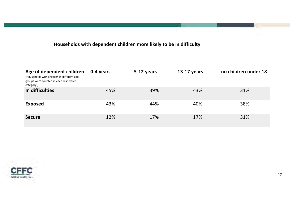#### **Households with dependent children more likely to be in difficulty**

| Age of dependent children<br>(Households with children in different age<br>groups were counted in each respective<br>category.) | 0-4 years | 5-12 years | 13-17 years | no children under 18 |
|---------------------------------------------------------------------------------------------------------------------------------|-----------|------------|-------------|----------------------|
| In difficulties                                                                                                                 | 45%       | 39%        | 43%         | 31%                  |
| <b>Exposed</b>                                                                                                                  | 43%       | 44%        | 40%         | 38%                  |
| <b>Secure</b>                                                                                                                   | 12%       | 17%        | 17%         | 31%                  |

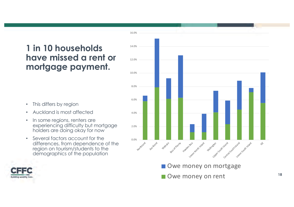## **1 in 10 households have missed a rent or mortgage payment.**

- This differs by region
- Auckland is most affected
- In some regions, renters are experiencing difficulty but mortgage holders are doing okay for now
- Several factors account for the differences, from dependence of the region on tourism/students to the demographics of the population



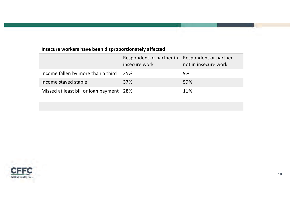#### **Insecure workers have been disproportionately affected**

|                                          | Respondent or partner in<br>insecure work | Respondent or partner<br>not in insecure work |
|------------------------------------------|-------------------------------------------|-----------------------------------------------|
| Income fallen by more than a third       | 25%                                       | 9%                                            |
| Income stayed stable                     | 37%                                       | 59%                                           |
| Missed at least bill or loan payment 28% |                                           | 11%                                           |

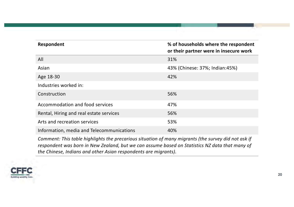| Respondent                                | % of households where the respondent<br>or their partner were in insecure work |
|-------------------------------------------|--------------------------------------------------------------------------------|
| All                                       | 31%                                                                            |
| Asian                                     | 43% (Chinese: 37%; Indian: 45%)                                                |
| Age 18-30                                 | 42%                                                                            |
| Industries worked in:                     |                                                                                |
| Construction                              | 56%                                                                            |
| Accommodation and food services           | 47%                                                                            |
| Rental, Hiring and real estate services   | 56%                                                                            |
| Arts and recreation services              | 53%                                                                            |
| Information, media and Telecommunications | 40%                                                                            |

*Comment: This table highlights the precarious situation of many migrants (the survey did not ask if respondent was born in New Zealand, but we can assume based on Statistics NZ data that many of the Chinese, Indians and other Asian respondents are migrants).* 

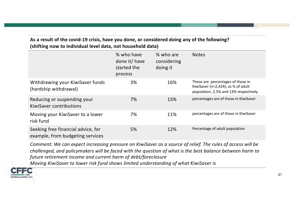#### **As a result of the covid-19 crisis, have you done, or considered doing any of the following? (shifting now to individual level data, not household data)**

|                                                                        | % who have<br>done it/ have<br>started the<br>process | % who are<br>considering<br>doing it | <b>Notes</b>                                                                                                         |
|------------------------------------------------------------------------|-------------------------------------------------------|--------------------------------------|----------------------------------------------------------------------------------------------------------------------|
| Withdrawing your KiwiSaver funds<br>(hardship withdrawal)              | 3%                                                    | 16%                                  | These are percentages of those in<br>KiwiSaver ( $n=2,424$ ); as % of adult<br>population, 2.5% and 13% respectively |
| Reducing or suspending your<br><b>KiwiSaver contributions</b>          | 7%                                                    | 15%                                  | percentages are of those in KiwiSaver                                                                                |
| Moving your KiwiSaver to a lower<br>risk fund                          | 7%                                                    | 11%                                  | percentages are of those in KiwiSaver                                                                                |
| Seeking free financial advice, for<br>example, from budgeting services | 5%                                                    | 12%                                  | Percentage of adult population                                                                                       |

*Comment: We can expect increasing pressure on KiwiSaver as a source of relief. The rules of access will be challenged, and policymakers will be faced with the question of what is the best balance between harm to future retirement income and current harm of debt/foreclosure* 

*Moving KiwiSaver to lower risk fund shows limited understanding of what KiwiSaver is*

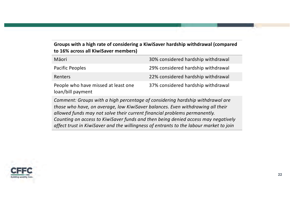#### **Groups with a high rate of considering a KiwiSaver hardship withdrawal (compared to 16% across all KiwiSaver members)**

| Māori                                                    | 30% considered hardship withdrawal |
|----------------------------------------------------------|------------------------------------|
| <b>Pacific Peoples</b>                                   | 29% considered hardship withdrawal |
| Renters                                                  | 22% considered hardship withdrawal |
| People who have missed at least one<br>loan/bill payment | 37% considered hardship withdrawal |

*Comment: Groups with a high percentage of considering hardship withdrawal are those who have, on average, low KiwiSaver balances. Even withdrawing all their allowed funds may not solve their current financial problems permanently. Counting on access to KiwiSaver funds and then being denied access may negatively affect trust in KiwiSaver and the willingness of entrants to the labour market to join* 

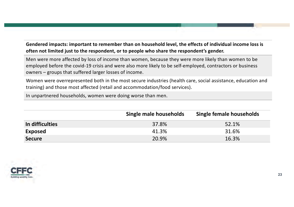#### **Gendered impacts: important to remember than on household level, the effects of individual income loss is often not limited just to the respondent, or to people who share the respondent's gender.**

Men were more affected by loss of income than women, because they were more likely than women to be employed before the covid-19 crisis and were also more likely to be self-employed, contractors or business owners – groups that suffered larger losses of income.

Women were overrepresented both in the most secure industries (health care, social assistance, education and training) and those most affected (retail and accommodation/food services).

In unpartnered households, women were doing worse than men.

|                 | Single male households | Single female households |
|-----------------|------------------------|--------------------------|
| In difficulties | 37.8%                  | 52.1%                    |
| <b>Exposed</b>  | 41.3%                  | 31.6%                    |
| <b>Secure</b>   | 20.9%                  | 16.3%                    |

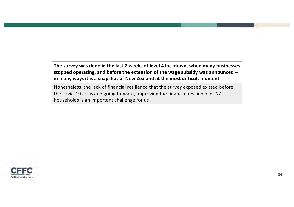**The survey was done in the last 2 weeks of level 4 lockdown, when many businesses stopped operating, and before the extension of the wage subsidy was announced – in many ways it is a snapshot of New Zealand at the most difficult moment**

Nonetheless, the lack of financial resilience that the survey exposed existed before the covid-19 crisis and going forward, improving the financial resilience of NZ households is an important challenge for us

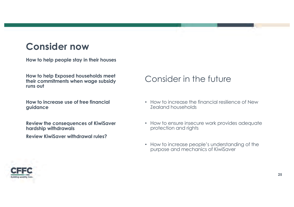# **Consider now**

**How to help people stay in their houses**

**How to help Exposed households meet their commitments when wage subsidy runs out** 

**How to increase use of free financial guidance**

**Review the consequences of KiwiSaver hardship withdrawals** 

**Review KiwiSaver withdrawal rules?**

### Consider in the future

- How to increase the financial resilience of New Zealand households
- How to ensure insecure work provides adequate protection and rights
- How to increase people's understanding of the purpose and mechanics of KiwiSaver

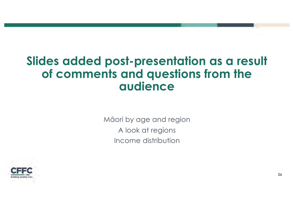# **Slides added post-presentation as a result of comments and questions from the audience**

Māori by age and region A look at regions Income distribution

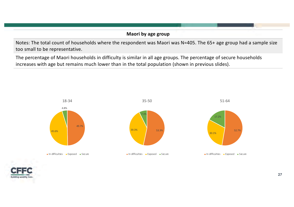#### **Maori by age group**

Notes: The total count of households where the respondent was Maori was N=405. The 65+ age group had a sample size too small to be representative.

The percentage of Maori households in difficulty is similar in all age groups. The percentage of secure households increases with age but remains much lower than in the total population (shown in previous slides).



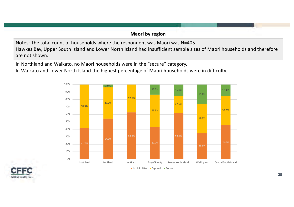#### **Maori by region**

Notes: The total count of households where the respondent was Maori was N=405.

Hawkes Bay, Upper South Island and Lower North Island had insufficient sample sizes of Maori households and therefore are not shown.

In Northland and Waikato, no Maori households were in the "secure" category.

In Waikato and Lower North Island the highest percentage of Maori households were in difficulty.



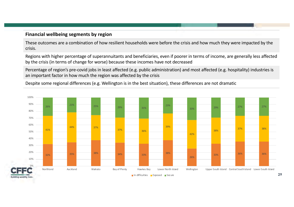#### **Financial wellbeing segments by region**

These outcomes are a combination of how resilient households were before the crisis and how much they were impacted by the crisis.

Regions with higher percentage of superannuitants and beneficiaries, even if poorer in terms of income, are generally less affected by the crisis (in terms of change for worse) because these incomes have not decreased

Percentage of region's pre-covid jobs in least affected (e.g. public administration) and most affected (e.g. hospitality) industries is an important factor in how much the region was affected by the crisis

Despite some regional differences (e.g. Wellington is in the best situation), these differences are not dramatic